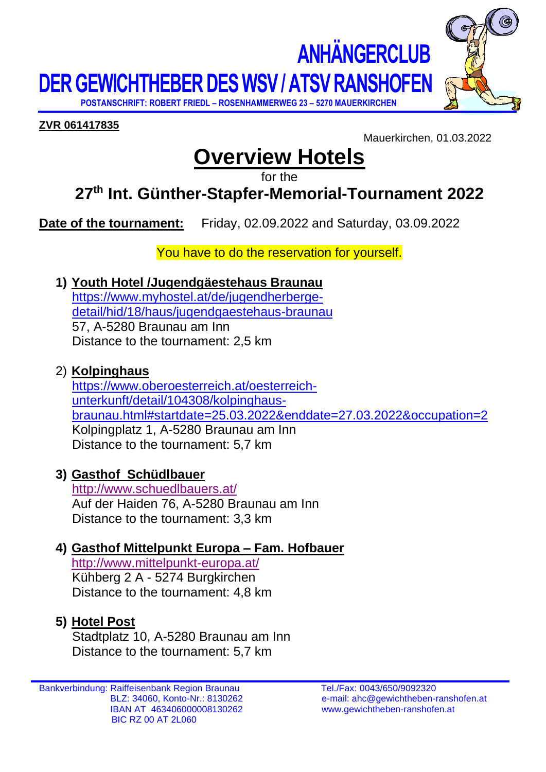**DER GEWICHTHEBER DES WSV / ATSV RANSHOFEN**

 **POSTANSCHRIFT: ROBERT FRIEDL – ROSENHAMMERWEG 23 – 5270 MAUERKIRCHEN**



**ZVR 061417835**

Mauerkirchen, 01.03.2022

 **ANHÄNGERCLUB**

# **Overview Hotels**

for the

## **27 th Int. Günther-Stapfer-Memorial-Tournament 2022**

**Date of the tournament:** Friday, 02.09.2022 and Saturday, 03.09.2022

You have to do the reservation for yourself.

**1) Youth Hotel /Jugendgäestehaus Braunau**

[https://www.myhostel.at/de/jugendherberge](https://www.myhostel.at/de/jugendherberge-detail/hid/18/haus/jugendgaestehaus-braunau)[detail/hid/18/haus/jugendgaestehaus-braunau](https://www.myhostel.at/de/jugendherberge-detail/hid/18/haus/jugendgaestehaus-braunau) 57, A-5280 Braunau am Inn Distance to the tournament: 2,5 km

2) **Kolpinghaus**

[https://www.oberoesterreich.at/oesterreich](https://www.oberoesterreich.at/oesterreich-unterkunft/detail/104308/kolpinghaus-braunau.html#startdate=25.03.2022&enddate=27.03.2022&occupation=2)[unterkunft/detail/104308/kolpinghaus](https://www.oberoesterreich.at/oesterreich-unterkunft/detail/104308/kolpinghaus-braunau.html#startdate=25.03.2022&enddate=27.03.2022&occupation=2)[braunau.html#startdate=25.03.2022&enddate=27.03.2022&occupation=2](https://www.oberoesterreich.at/oesterreich-unterkunft/detail/104308/kolpinghaus-braunau.html#startdate=25.03.2022&enddate=27.03.2022&occupation=2) Kolpingplatz 1, A-5280 Braunau am Inn Distance to the tournament: 5,7 km

**3) Gasthof Schüdlbauer**

<http://www.schuedlbauers.at/> Auf der Haiden 76, A-5280 Braunau am Inn Distance to the tournament: 3,3 km

### **4) Gasthof Mittelpunkt Europa – Fam. Hofbauer**

<http://www.mittelpunkt-europa.at/> Kühberg 2 A - 5274 Burgkirchen Distance to the tournament: 4,8 km

### **5) Hotel Post**

Stadtplatz 10, A-5280 Braunau am Inn Distance to the tournament: 5,7 km

Bankverbindung: Raiffeisenbank Region Braunau Tel./Fax: 0043/650/9092320 IBAN AT 463406000008130262 www.gewichtheben-ranshofen.at BIC RZ 00 AT 2L060